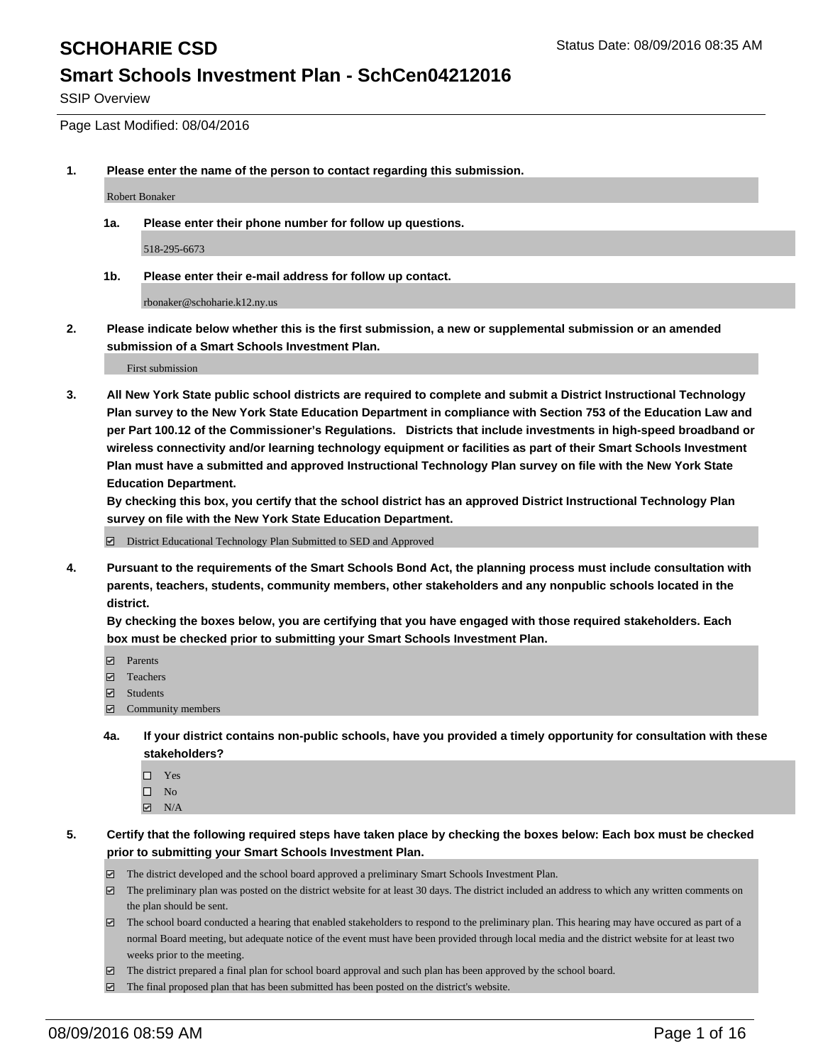SSIP Overview

Page Last Modified: 08/04/2016

**1. Please enter the name of the person to contact regarding this submission.**

Robert Bonaker

**1a. Please enter their phone number for follow up questions.**

518-295-6673

**1b. Please enter their e-mail address for follow up contact.**

rbonaker@schoharie.k12.ny.us

**2. Please indicate below whether this is the first submission, a new or supplemental submission or an amended submission of a Smart Schools Investment Plan.**

First submission

**3. All New York State public school districts are required to complete and submit a District Instructional Technology Plan survey to the New York State Education Department in compliance with Section 753 of the Education Law and per Part 100.12 of the Commissioner's Regulations. Districts that include investments in high-speed broadband or wireless connectivity and/or learning technology equipment or facilities as part of their Smart Schools Investment Plan must have a submitted and approved Instructional Technology Plan survey on file with the New York State Education Department.** 

**By checking this box, you certify that the school district has an approved District Instructional Technology Plan survey on file with the New York State Education Department.**

District Educational Technology Plan Submitted to SED and Approved

**4. Pursuant to the requirements of the Smart Schools Bond Act, the planning process must include consultation with parents, teachers, students, community members, other stakeholders and any nonpublic schools located in the district.** 

**By checking the boxes below, you are certifying that you have engaged with those required stakeholders. Each box must be checked prior to submitting your Smart Schools Investment Plan.**

- **Parents**
- Teachers
- Students
- Community members
- **4a. If your district contains non-public schools, have you provided a timely opportunity for consultation with these stakeholders?**
	- $\Box$  Yes  $\square$  No
	- $\boxtimes$  N/A
- **5. Certify that the following required steps have taken place by checking the boxes below: Each box must be checked prior to submitting your Smart Schools Investment Plan.**
	- The district developed and the school board approved a preliminary Smart Schools Investment Plan.
	- $\boxdot$  The preliminary plan was posted on the district website for at least 30 days. The district included an address to which any written comments on the plan should be sent.
	- The school board conducted a hearing that enabled stakeholders to respond to the preliminary plan. This hearing may have occured as part of a normal Board meeting, but adequate notice of the event must have been provided through local media and the district website for at least two weeks prior to the meeting.
	- The district prepared a final plan for school board approval and such plan has been approved by the school board.
	- $\boxdot$  The final proposed plan that has been submitted has been posted on the district's website.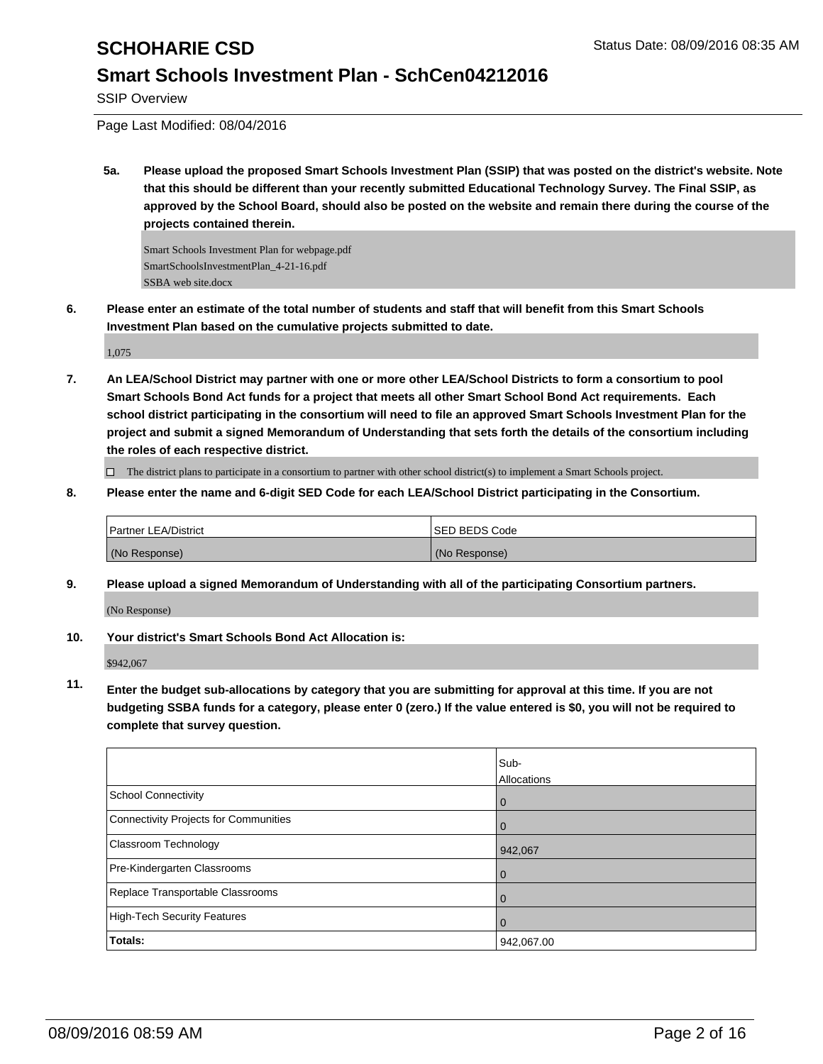SSIP Overview

Page Last Modified: 08/04/2016

**5a. Please upload the proposed Smart Schools Investment Plan (SSIP) that was posted on the district's website. Note that this should be different than your recently submitted Educational Technology Survey. The Final SSIP, as approved by the School Board, should also be posted on the website and remain there during the course of the projects contained therein.**

Smart Schools Investment Plan for webpage.pdf SmartSchoolsInvestmentPlan\_4-21-16.pdf SSBA web site.docx

**6. Please enter an estimate of the total number of students and staff that will benefit from this Smart Schools Investment Plan based on the cumulative projects submitted to date.**

1,075

**7. An LEA/School District may partner with one or more other LEA/School Districts to form a consortium to pool Smart Schools Bond Act funds for a project that meets all other Smart School Bond Act requirements. Each school district participating in the consortium will need to file an approved Smart Schools Investment Plan for the project and submit a signed Memorandum of Understanding that sets forth the details of the consortium including the roles of each respective district.**

 $\Box$  The district plans to participate in a consortium to partner with other school district(s) to implement a Smart Schools project.

**8. Please enter the name and 6-digit SED Code for each LEA/School District participating in the Consortium.**

| <b>Partner LEA/District</b> | <b>ISED BEDS Code</b> |
|-----------------------------|-----------------------|
| (No Response)               | (No Response)         |

**9. Please upload a signed Memorandum of Understanding with all of the participating Consortium partners.**

(No Response)

**10. Your district's Smart Schools Bond Act Allocation is:**

\$942,067

**11. Enter the budget sub-allocations by category that you are submitting for approval at this time. If you are not budgeting SSBA funds for a category, please enter 0 (zero.) If the value entered is \$0, you will not be required to complete that survey question.**

|                                       | Sub-<br>Allocations |
|---------------------------------------|---------------------|
| School Connectivity                   | U                   |
| Connectivity Projects for Communities |                     |
| <b>Classroom Technology</b>           | 942,067             |
| Pre-Kindergarten Classrooms           |                     |
| Replace Transportable Classrooms      | $\Omega$            |
| High-Tech Security Features           |                     |
| <b>Totals:</b>                        | 942,067.00          |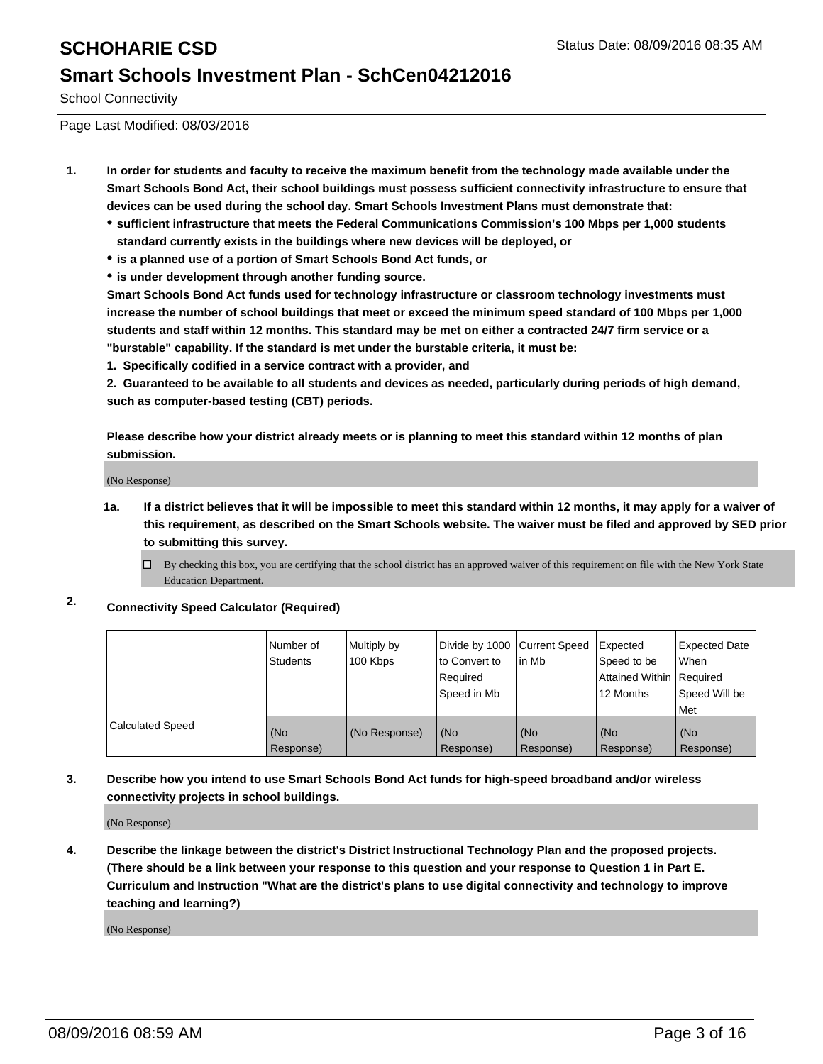School Connectivity

Page Last Modified: 08/03/2016

- **1. In order for students and faculty to receive the maximum benefit from the technology made available under the Smart Schools Bond Act, their school buildings must possess sufficient connectivity infrastructure to ensure that devices can be used during the school day. Smart Schools Investment Plans must demonstrate that:**
	- **sufficient infrastructure that meets the Federal Communications Commission's 100 Mbps per 1,000 students standard currently exists in the buildings where new devices will be deployed, or**
	- **is a planned use of a portion of Smart Schools Bond Act funds, or**
	- **is under development through another funding source.**

**Smart Schools Bond Act funds used for technology infrastructure or classroom technology investments must increase the number of school buildings that meet or exceed the minimum speed standard of 100 Mbps per 1,000 students and staff within 12 months. This standard may be met on either a contracted 24/7 firm service or a "burstable" capability. If the standard is met under the burstable criteria, it must be:**

**1. Specifically codified in a service contract with a provider, and**

**2. Guaranteed to be available to all students and devices as needed, particularly during periods of high demand, such as computer-based testing (CBT) periods.**

**Please describe how your district already meets or is planning to meet this standard within 12 months of plan submission.**

(No Response)

- **1a. If a district believes that it will be impossible to meet this standard within 12 months, it may apply for a waiver of this requirement, as described on the Smart Schools website. The waiver must be filed and approved by SED prior to submitting this survey.**
	- $\Box$  By checking this box, you are certifying that the school district has an approved waiver of this requirement on file with the New York State Education Department.
- **2. Connectivity Speed Calculator (Required)**

|                         | Number of<br><b>Students</b> | Multiply by<br>100 Kbps | Divide by 1000 Current Speed<br>to Convert to<br>Required<br>Speed in Mb | lin Mb           | Expected<br>Speed to be<br>Attained Within Required<br>12 Months | Expected Date<br>l When<br>Speed Will be<br>l Met |
|-------------------------|------------------------------|-------------------------|--------------------------------------------------------------------------|------------------|------------------------------------------------------------------|---------------------------------------------------|
| <b>Calculated Speed</b> | (No<br>Response)             | (No Response)           | (No<br>Response)                                                         | (No<br>Response) | (No<br>Response)                                                 | (No<br>Response)                                  |

## **3. Describe how you intend to use Smart Schools Bond Act funds for high-speed broadband and/or wireless connectivity projects in school buildings.**

(No Response)

**4. Describe the linkage between the district's District Instructional Technology Plan and the proposed projects. (There should be a link between your response to this question and your response to Question 1 in Part E. Curriculum and Instruction "What are the district's plans to use digital connectivity and technology to improve teaching and learning?)**

(No Response)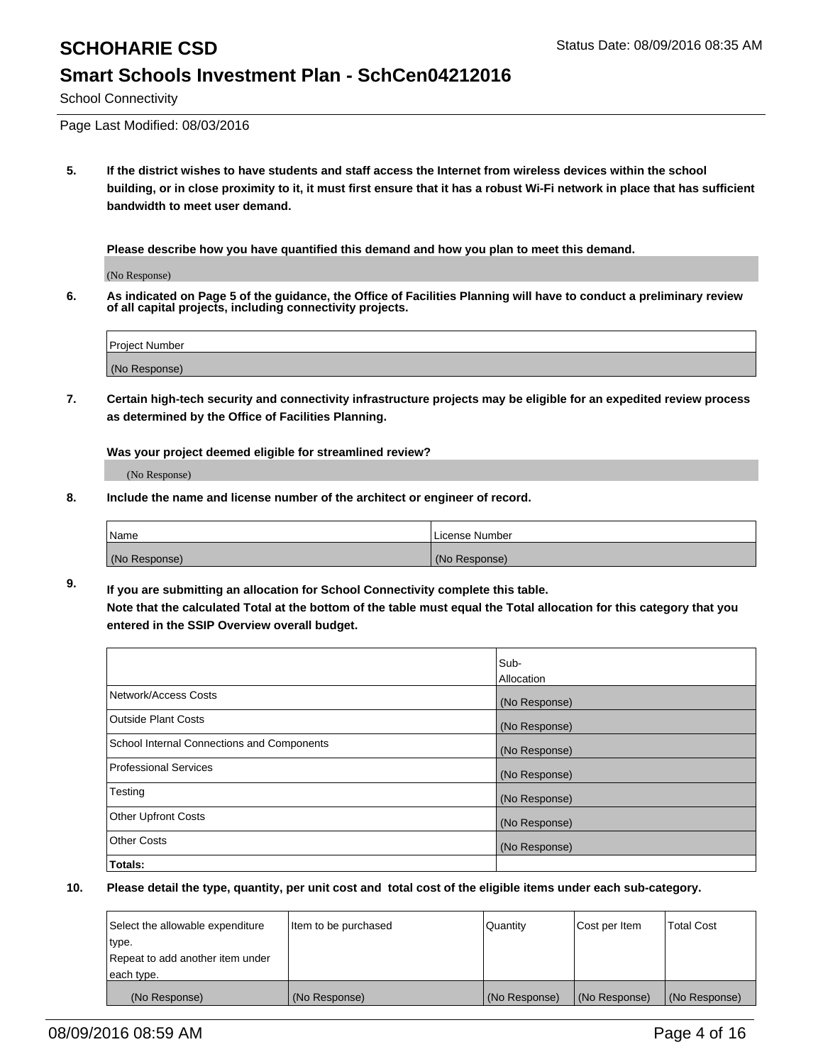School Connectivity

Page Last Modified: 08/03/2016

**5. If the district wishes to have students and staff access the Internet from wireless devices within the school building, or in close proximity to it, it must first ensure that it has a robust Wi-Fi network in place that has sufficient bandwidth to meet user demand.**

**Please describe how you have quantified this demand and how you plan to meet this demand.**

(No Response)

**6. As indicated on Page 5 of the guidance, the Office of Facilities Planning will have to conduct a preliminary review of all capital projects, including connectivity projects.**

| Project Number |  |
|----------------|--|
|                |  |
| (No Response)  |  |

**7. Certain high-tech security and connectivity infrastructure projects may be eligible for an expedited review process as determined by the Office of Facilities Planning.**

**Was your project deemed eligible for streamlined review?**

(No Response)

**8. Include the name and license number of the architect or engineer of record.**

| <b>Name</b>   | License Number |
|---------------|----------------|
| (No Response) | (No Response)  |

**9. If you are submitting an allocation for School Connectivity complete this table. Note that the calculated Total at the bottom of the table must equal the Total allocation for this category that you entered in the SSIP Overview overall budget.** 

|                                            | Sub-          |
|--------------------------------------------|---------------|
|                                            | Allocation    |
| Network/Access Costs                       | (No Response) |
| <b>Outside Plant Costs</b>                 | (No Response) |
| School Internal Connections and Components | (No Response) |
| Professional Services                      | (No Response) |
| Testing                                    | (No Response) |
| <b>Other Upfront Costs</b>                 | (No Response) |
| <b>Other Costs</b>                         | (No Response) |
| Totals:                                    |               |

| Select the allowable expenditure | Item to be purchased | Quantity      | Cost per Item | <b>Total Cost</b> |
|----------------------------------|----------------------|---------------|---------------|-------------------|
| type.                            |                      |               |               |                   |
| Repeat to add another item under |                      |               |               |                   |
| each type.                       |                      |               |               |                   |
| (No Response)                    | (No Response)        | (No Response) | (No Response) | (No Response)     |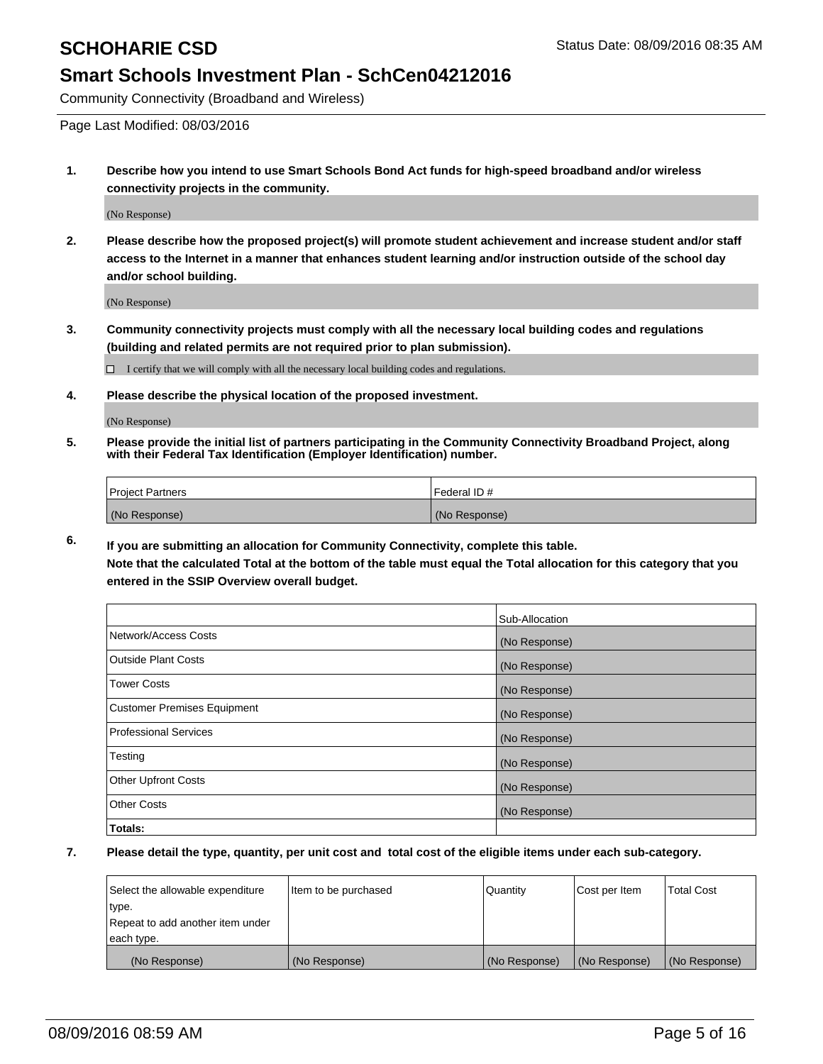Community Connectivity (Broadband and Wireless)

Page Last Modified: 08/03/2016

**1. Describe how you intend to use Smart Schools Bond Act funds for high-speed broadband and/or wireless connectivity projects in the community.**

(No Response)

**2. Please describe how the proposed project(s) will promote student achievement and increase student and/or staff access to the Internet in a manner that enhances student learning and/or instruction outside of the school day and/or school building.**

(No Response)

**3. Community connectivity projects must comply with all the necessary local building codes and regulations (building and related permits are not required prior to plan submission).**

 $\Box$  I certify that we will comply with all the necessary local building codes and regulations.

**4. Please describe the physical location of the proposed investment.**

(No Response)

**5. Please provide the initial list of partners participating in the Community Connectivity Broadband Project, along with their Federal Tax Identification (Employer Identification) number.**

| Project Partners | <b>IFederal ID#</b> |
|------------------|---------------------|
| (No Response)    | (No Response)       |

**6. If you are submitting an allocation for Community Connectivity, complete this table. Note that the calculated Total at the bottom of the table must equal the Total allocation for this category that you**

**entered in the SSIP Overview overall budget.**

|                             | Sub-Allocation |
|-----------------------------|----------------|
| Network/Access Costs        | (No Response)  |
| <b>Outside Plant Costs</b>  | (No Response)  |
| Tower Costs                 | (No Response)  |
| Customer Premises Equipment | (No Response)  |
| Professional Services       | (No Response)  |
| Testing                     | (No Response)  |
| <b>Other Upfront Costs</b>  | (No Response)  |
| Other Costs                 | (No Response)  |
| Totals:                     |                |

| Select the allowable expenditure | Item to be purchased | Quantity      | Cost per Item | <b>Total Cost</b> |
|----------------------------------|----------------------|---------------|---------------|-------------------|
| type.                            |                      |               |               |                   |
| Repeat to add another item under |                      |               |               |                   |
| each type.                       |                      |               |               |                   |
| (No Response)                    | (No Response)        | (No Response) | (No Response) | (No Response)     |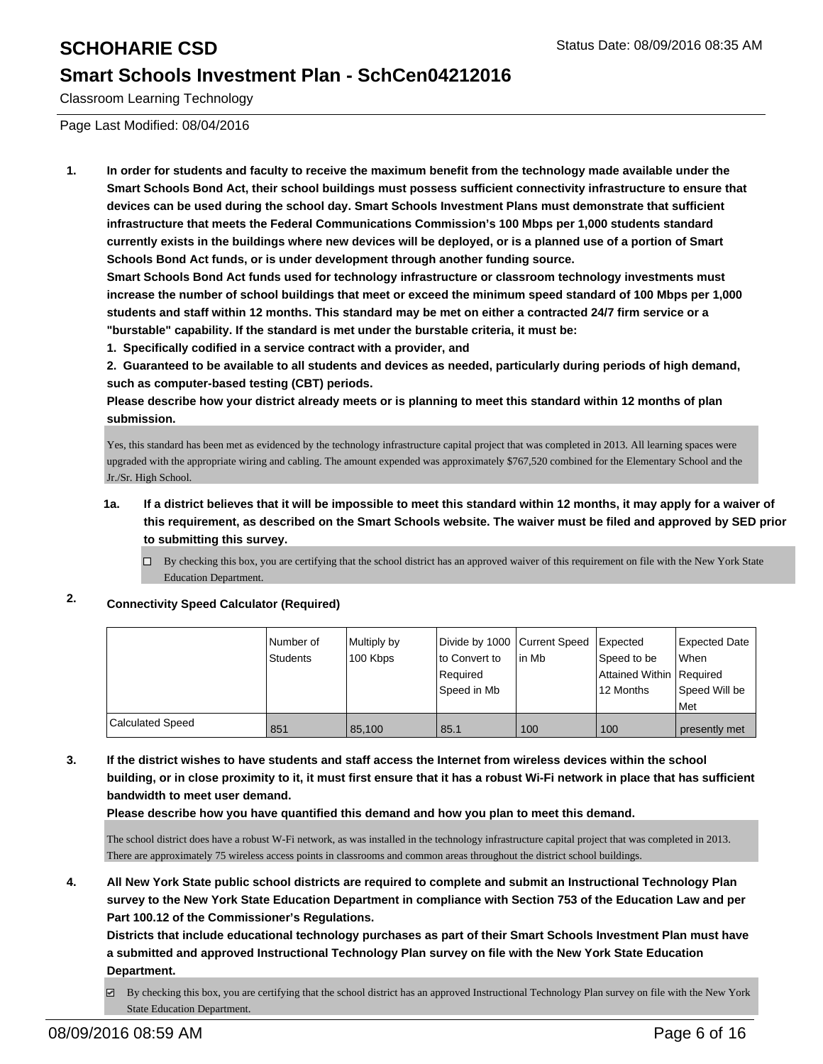Classroom Learning Technology

Page Last Modified: 08/04/2016

**1. In order for students and faculty to receive the maximum benefit from the technology made available under the Smart Schools Bond Act, their school buildings must possess sufficient connectivity infrastructure to ensure that devices can be used during the school day. Smart Schools Investment Plans must demonstrate that sufficient infrastructure that meets the Federal Communications Commission's 100 Mbps per 1,000 students standard currently exists in the buildings where new devices will be deployed, or is a planned use of a portion of Smart Schools Bond Act funds, or is under development through another funding source.**

**Smart Schools Bond Act funds used for technology infrastructure or classroom technology investments must increase the number of school buildings that meet or exceed the minimum speed standard of 100 Mbps per 1,000 students and staff within 12 months. This standard may be met on either a contracted 24/7 firm service or a "burstable" capability. If the standard is met under the burstable criteria, it must be:**

**1. Specifically codified in a service contract with a provider, and**

**2. Guaranteed to be available to all students and devices as needed, particularly during periods of high demand, such as computer-based testing (CBT) periods.**

**Please describe how your district already meets or is planning to meet this standard within 12 months of plan submission.**

Yes, this standard has been met as evidenced by the technology infrastructure capital project that was completed in 2013. All learning spaces were upgraded with the appropriate wiring and cabling. The amount expended was approximately \$767,520 combined for the Elementary School and the Jr./Sr. High School.

**1a. If a district believes that it will be impossible to meet this standard within 12 months, it may apply for a waiver of this requirement, as described on the Smart Schools website. The waiver must be filed and approved by SED prior to submitting this survey.**

By checking this box, you are certifying that the school district has an approved waiver of this requirement on file with the New York State Education Department.

## **2. Connectivity Speed Calculator (Required)**

|                  | Number of | Multiply by | Divide by 1000 Current Speed |        | Expected                   | Expected Date |
|------------------|-----------|-------------|------------------------------|--------|----------------------------|---------------|
|                  | Students  | 100 Kbps    | Ito Convert to               | lin Mb | Speed to be                | l When        |
|                  |           |             | l Reauired                   |        | Attained Within   Required |               |
|                  |           |             | Speed in Mb                  |        | 12 Months                  | Speed Will be |
|                  |           |             |                              |        |                            | <b>Met</b>    |
| Calculated Speed | 851       | 85.100      | 85.1                         | 100    | 100                        | presently met |

**3. If the district wishes to have students and staff access the Internet from wireless devices within the school building, or in close proximity to it, it must first ensure that it has a robust Wi-Fi network in place that has sufficient bandwidth to meet user demand.**

**Please describe how you have quantified this demand and how you plan to meet this demand.**

The school district does have a robust W-Fi network, as was installed in the technology infrastructure capital project that was completed in 2013. There are approximately 75 wireless access points in classrooms and common areas throughout the district school buildings.

**4. All New York State public school districts are required to complete and submit an Instructional Technology Plan survey to the New York State Education Department in compliance with Section 753 of the Education Law and per Part 100.12 of the Commissioner's Regulations.**

**Districts that include educational technology purchases as part of their Smart Schools Investment Plan must have a submitted and approved Instructional Technology Plan survey on file with the New York State Education Department.**

 $\boxtimes$  By checking this box, you are certifying that the school district has an approved Instructional Technology Plan survey on file with the New York State Education Department.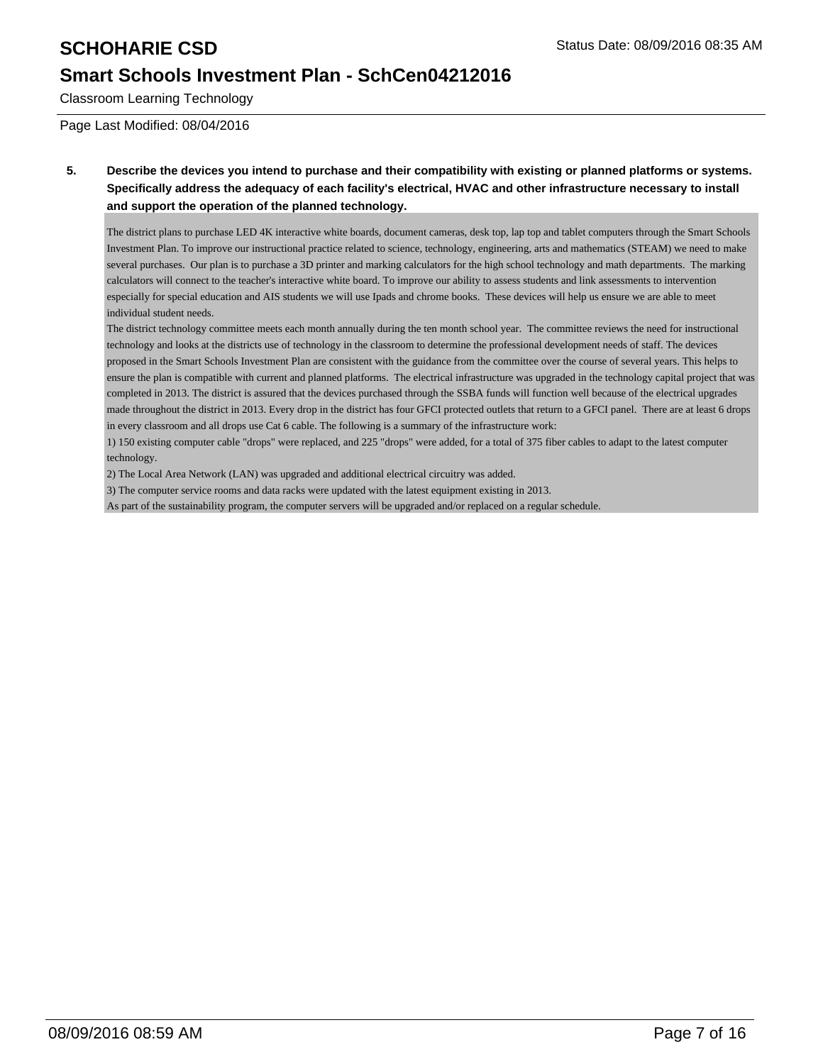Classroom Learning Technology

Page Last Modified: 08/04/2016

**5. Describe the devices you intend to purchase and their compatibility with existing or planned platforms or systems. Specifically address the adequacy of each facility's electrical, HVAC and other infrastructure necessary to install and support the operation of the planned technology.**

The district plans to purchase LED 4K interactive white boards, document cameras, desk top, lap top and tablet computers through the Smart Schools Investment Plan. To improve our instructional practice related to science, technology, engineering, arts and mathematics (STEAM) we need to make several purchases. Our plan is to purchase a 3D printer and marking calculators for the high school technology and math departments. The marking calculators will connect to the teacher's interactive white board. To improve our ability to assess students and link assessments to intervention especially for special education and AIS students we will use Ipads and chrome books. These devices will help us ensure we are able to meet individual student needs.

The district technology committee meets each month annually during the ten month school year. The committee reviews the need for instructional technology and looks at the districts use of technology in the classroom to determine the professional development needs of staff. The devices proposed in the Smart Schools Investment Plan are consistent with the guidance from the committee over the course of several years. This helps to ensure the plan is compatible with current and planned platforms. The electrical infrastructure was upgraded in the technology capital project that was completed in 2013. The district is assured that the devices purchased through the SSBA funds will function well because of the electrical upgrades made throughout the district in 2013. Every drop in the district has four GFCI protected outlets that return to a GFCI panel. There are at least 6 drops in every classroom and all drops use Cat 6 cable. The following is a summary of the infrastructure work:

1) 150 existing computer cable "drops" were replaced, and 225 "drops" were added, for a total of 375 fiber cables to adapt to the latest computer technology.

2) The Local Area Network (LAN) was upgraded and additional electrical circuitry was added.

3) The computer service rooms and data racks were updated with the latest equipment existing in 2013.

As part of the sustainability program, the computer servers will be upgraded and/or replaced on a regular schedule.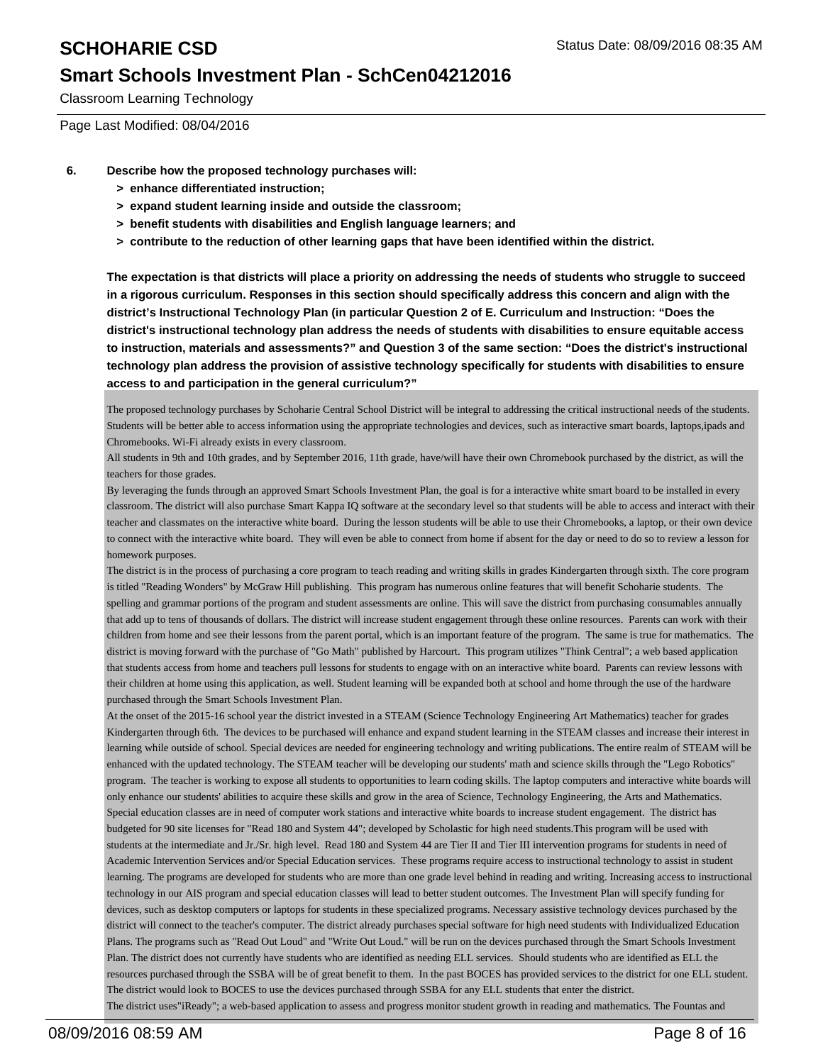Classroom Learning Technology

Page Last Modified: 08/04/2016

- **6. Describe how the proposed technology purchases will:**
	- **> enhance differentiated instruction;**
	- **> expand student learning inside and outside the classroom;**
	- **> benefit students with disabilities and English language learners; and**
	- **> contribute to the reduction of other learning gaps that have been identified within the district.**

**The expectation is that districts will place a priority on addressing the needs of students who struggle to succeed in a rigorous curriculum. Responses in this section should specifically address this concern and align with the district's Instructional Technology Plan (in particular Question 2 of E. Curriculum and Instruction: "Does the district's instructional technology plan address the needs of students with disabilities to ensure equitable access to instruction, materials and assessments?" and Question 3 of the same section: "Does the district's instructional technology plan address the provision of assistive technology specifically for students with disabilities to ensure access to and participation in the general curriculum?"**

The proposed technology purchases by Schoharie Central School District will be integral to addressing the critical instructional needs of the students. Students will be better able to access information using the appropriate technologies and devices, such as interactive smart boards, laptops,ipads and Chromebooks. Wi-Fi already exists in every classroom.

All students in 9th and 10th grades, and by September 2016, 11th grade, have/will have their own Chromebook purchased by the district, as will the teachers for those grades.

By leveraging the funds through an approved Smart Schools Investment Plan, the goal is for a interactive white smart board to be installed in every classroom. The district will also purchase Smart Kappa IQ software at the secondary level so that students will be able to access and interact with their teacher and classmates on the interactive white board. During the lesson students will be able to use their Chromebooks, a laptop, or their own device to connect with the interactive white board. They will even be able to connect from home if absent for the day or need to do so to review a lesson for homework purposes.

The district is in the process of purchasing a core program to teach reading and writing skills in grades Kindergarten through sixth. The core program is titled "Reading Wonders" by McGraw Hill publishing. This program has numerous online features that will benefit Schoharie students. The spelling and grammar portions of the program and student assessments are online. This will save the district from purchasing consumables annually that add up to tens of thousands of dollars. The district will increase student engagement through these online resources. Parents can work with their children from home and see their lessons from the parent portal, which is an important feature of the program. The same is true for mathematics. The district is moving forward with the purchase of "Go Math" published by Harcourt. This program utilizes "Think Central"; a web based application that students access from home and teachers pull lessons for students to engage with on an interactive white board. Parents can review lessons with their children at home using this application, as well. Student learning will be expanded both at school and home through the use of the hardware purchased through the Smart Schools Investment Plan.

At the onset of the 2015-16 school year the district invested in a STEAM (Science Technology Engineering Art Mathematics) teacher for grades Kindergarten through 6th. The devices to be purchased will enhance and expand student learning in the STEAM classes and increase their interest in learning while outside of school. Special devices are needed for engineering technology and writing publications. The entire realm of STEAM will be enhanced with the updated technology. The STEAM teacher will be developing our students' math and science skills through the "Lego Robotics" program. The teacher is working to expose all students to opportunities to learn coding skills. The laptop computers and interactive white boards will only enhance our students' abilities to acquire these skills and grow in the area of Science, Technology Engineering, the Arts and Mathematics. Special education classes are in need of computer work stations and interactive white boards to increase student engagement. The district has budgeted for 90 site licenses for "Read 180 and System 44"; developed by Scholastic for high need students.This program will be used with students at the intermediate and Jr./Sr. high level. Read 180 and System 44 are Tier II and Tier III intervention programs for students in need of Academic Intervention Services and/or Special Education services. These programs require access to instructional technology to assist in student learning. The programs are developed for students who are more than one grade level behind in reading and writing. Increasing access to instructional technology in our AIS program and special education classes will lead to better student outcomes. The Investment Plan will specify funding for devices, such as desktop computers or laptops for students in these specialized programs. Necessary assistive technology devices purchased by the district will connect to the teacher's computer. The district already purchases special software for high need students with Individualized Education Plans. The programs such as "Read Out Loud" and "Write Out Loud." will be run on the devices purchased through the Smart Schools Investment Plan. The district does not currently have students who are identified as needing ELL services. Should students who are identified as ELL the resources purchased through the SSBA will be of great benefit to them. In the past BOCES has provided services to the district for one ELL student. The district would look to BOCES to use the devices purchased through SSBA for any ELL students that enter the district. The district uses"iReady"; a web-based application to assess and progress monitor student growth in reading and mathematics. The Fountas and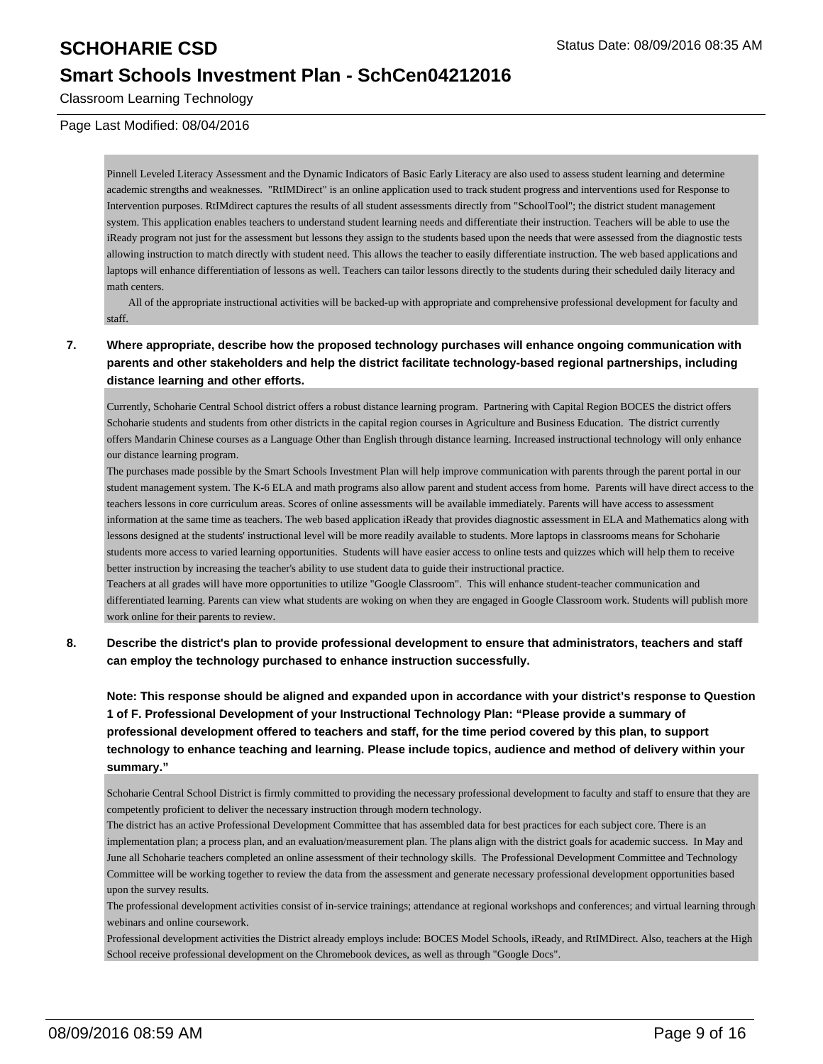Classroom Learning Technology

Page Last Modified: 08/04/2016

Pinnell Leveled Literacy Assessment and the Dynamic Indicators of Basic Early Literacy are also used to assess student learning and determine academic strengths and weaknesses. "RtIMDirect" is an online application used to track student progress and interventions used for Response to Intervention purposes. RtIMdirect captures the results of all student assessments directly from "SchoolTool"; the district student management system. This application enables teachers to understand student learning needs and differentiate their instruction. Teachers will be able to use the iReady program not just for the assessment but lessons they assign to the students based upon the needs that were assessed from the diagnostic tests allowing instruction to match directly with student need. This allows the teacher to easily differentiate instruction. The web based applications and laptops will enhance differentiation of lessons as well. Teachers can tailor lessons directly to the students during their scheduled daily literacy and math centers.

 All of the appropriate instructional activities will be backed-up with appropriate and comprehensive professional development for faculty and staff.

## **7. Where appropriate, describe how the proposed technology purchases will enhance ongoing communication with parents and other stakeholders and help the district facilitate technology-based regional partnerships, including distance learning and other efforts.**

Currently, Schoharie Central School district offers a robust distance learning program. Partnering with Capital Region BOCES the district offers Schoharie students and students from other districts in the capital region courses in Agriculture and Business Education. The district currently offers Mandarin Chinese courses as a Language Other than English through distance learning. Increased instructional technology will only enhance our distance learning program.

The purchases made possible by the Smart Schools Investment Plan will help improve communication with parents through the parent portal in our student management system. The K-6 ELA and math programs also allow parent and student access from home. Parents will have direct access to the teachers lessons in core curriculum areas. Scores of online assessments will be available immediately. Parents will have access to assessment information at the same time as teachers. The web based application iReady that provides diagnostic assessment in ELA and Mathematics along with lessons designed at the students' instructional level will be more readily available to students. More laptops in classrooms means for Schoharie students more access to varied learning opportunities. Students will have easier access to online tests and quizzes which will help them to receive better instruction by increasing the teacher's ability to use student data to guide their instructional practice.

Teachers at all grades will have more opportunities to utilize "Google Classroom". This will enhance student-teacher communication and differentiated learning. Parents can view what students are woking on when they are engaged in Google Classroom work. Students will publish more work online for their parents to review.

## **8. Describe the district's plan to provide professional development to ensure that administrators, teachers and staff can employ the technology purchased to enhance instruction successfully.**

**Note: This response should be aligned and expanded upon in accordance with your district's response to Question 1 of F. Professional Development of your Instructional Technology Plan: "Please provide a summary of professional development offered to teachers and staff, for the time period covered by this plan, to support technology to enhance teaching and learning. Please include topics, audience and method of delivery within your summary."**

Schoharie Central School District is firmly committed to providing the necessary professional development to faculty and staff to ensure that they are competently proficient to deliver the necessary instruction through modern technology.

The district has an active Professional Development Committee that has assembled data for best practices for each subject core. There is an implementation plan; a process plan, and an evaluation/measurement plan. The plans align with the district goals for academic success. In May and June all Schoharie teachers completed an online assessment of their technology skills. The Professional Development Committee and Technology Committee will be working together to review the data from the assessment and generate necessary professional development opportunities based upon the survey results.

The professional development activities consist of in-service trainings; attendance at regional workshops and conferences; and virtual learning through webinars and online coursework.

Professional development activities the District already employs include: BOCES Model Schools, iReady, and RtIMDirect. Also, teachers at the High School receive professional development on the Chromebook devices, as well as through "Google Docs".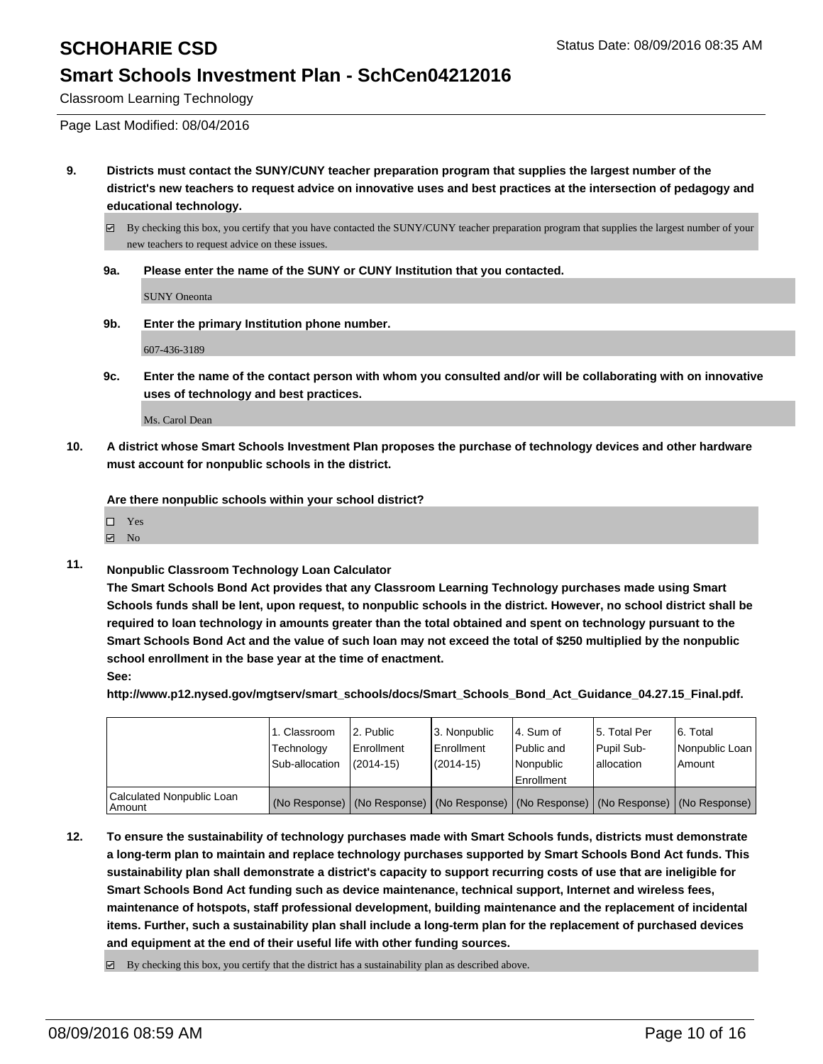Classroom Learning Technology

Page Last Modified: 08/04/2016

**9. Districts must contact the SUNY/CUNY teacher preparation program that supplies the largest number of the district's new teachers to request advice on innovative uses and best practices at the intersection of pedagogy and educational technology.**

By checking this box, you certify that you have contacted the SUNY/CUNY teacher preparation program that supplies the largest number of your new teachers to request advice on these issues.

**9a. Please enter the name of the SUNY or CUNY Institution that you contacted.**

SUNY Oneonta

**9b. Enter the primary Institution phone number.**

607-436-3189

**9c. Enter the name of the contact person with whom you consulted and/or will be collaborating with on innovative uses of technology and best practices.**

Ms. Carol Dean

**10. A district whose Smart Schools Investment Plan proposes the purchase of technology devices and other hardware must account for nonpublic schools in the district.**

**Are there nonpublic schools within your school district?**

| П | Yes |  |
|---|-----|--|
|   |     |  |

- No
- **11. Nonpublic Classroom Technology Loan Calculator**

**The Smart Schools Bond Act provides that any Classroom Learning Technology purchases made using Smart Schools funds shall be lent, upon request, to nonpublic schools in the district. However, no school district shall be required to loan technology in amounts greater than the total obtained and spent on technology pursuant to the Smart Schools Bond Act and the value of such loan may not exceed the total of \$250 multiplied by the nonpublic school enrollment in the base year at the time of enactment. See:**

**http://www.p12.nysed.gov/mgtserv/smart\_schools/docs/Smart\_Schools\_Bond\_Act\_Guidance\_04.27.15\_Final.pdf.**

|                                     | 1. Classroom<br>Technology<br>Sub-allocation | 2. Public<br>Enrollment<br>$(2014-15)$ | l 3. Nonpublic<br><b>Enrollment</b><br>$(2014-15)$ | l 4. Sum of<br>l Public and<br>Nonpublic<br><b>Enrollment</b> | l 5. Total Per<br>Pupil Sub-<br>allocation                                                    | 6. Total<br>Nonpublic Loan<br>l Amount |
|-------------------------------------|----------------------------------------------|----------------------------------------|----------------------------------------------------|---------------------------------------------------------------|-----------------------------------------------------------------------------------------------|----------------------------------------|
| Calculated Nonpublic Loan<br>Amount |                                              |                                        |                                                    |                                                               | (No Response)   (No Response)   (No Response)   (No Response)   (No Response)   (No Response) |                                        |

**12. To ensure the sustainability of technology purchases made with Smart Schools funds, districts must demonstrate a long-term plan to maintain and replace technology purchases supported by Smart Schools Bond Act funds. This sustainability plan shall demonstrate a district's capacity to support recurring costs of use that are ineligible for Smart Schools Bond Act funding such as device maintenance, technical support, Internet and wireless fees, maintenance of hotspots, staff professional development, building maintenance and the replacement of incidental items. Further, such a sustainability plan shall include a long-term plan for the replacement of purchased devices and equipment at the end of their useful life with other funding sources.**

 $\boxtimes$  By checking this box, you certify that the district has a sustainability plan as described above.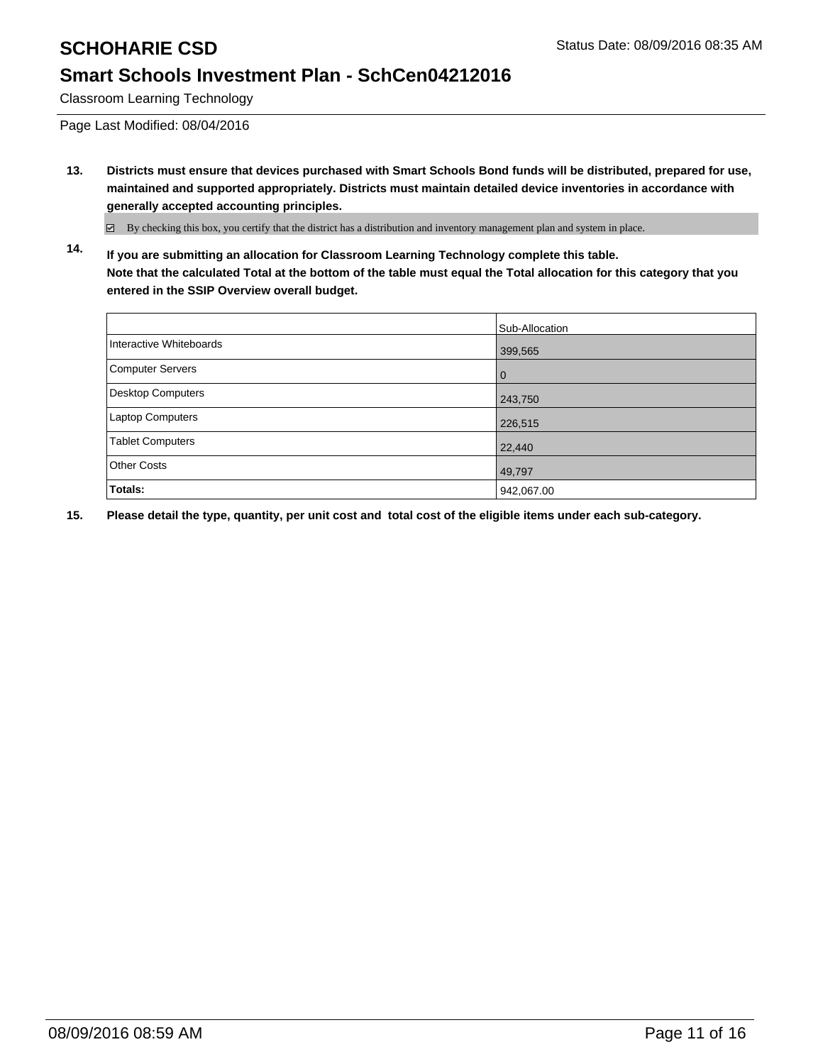Classroom Learning Technology

Page Last Modified: 08/04/2016

**13. Districts must ensure that devices purchased with Smart Schools Bond funds will be distributed, prepared for use, maintained and supported appropriately. Districts must maintain detailed device inventories in accordance with generally accepted accounting principles.**

By checking this box, you certify that the district has a distribution and inventory management plan and system in place.

**14. If you are submitting an allocation for Classroom Learning Technology complete this table. Note that the calculated Total at the bottom of the table must equal the Total allocation for this category that you entered in the SSIP Overview overall budget.**

|                         | Sub-Allocation |
|-------------------------|----------------|
| Interactive Whiteboards | 399,565        |
| Computer Servers        | O              |
| Desktop Computers       | 243,750        |
| Laptop Computers        | 226,515        |
| <b>Tablet Computers</b> | 22,440         |
| Other Costs             | 49,797         |
| Totals:                 | 942,067.00     |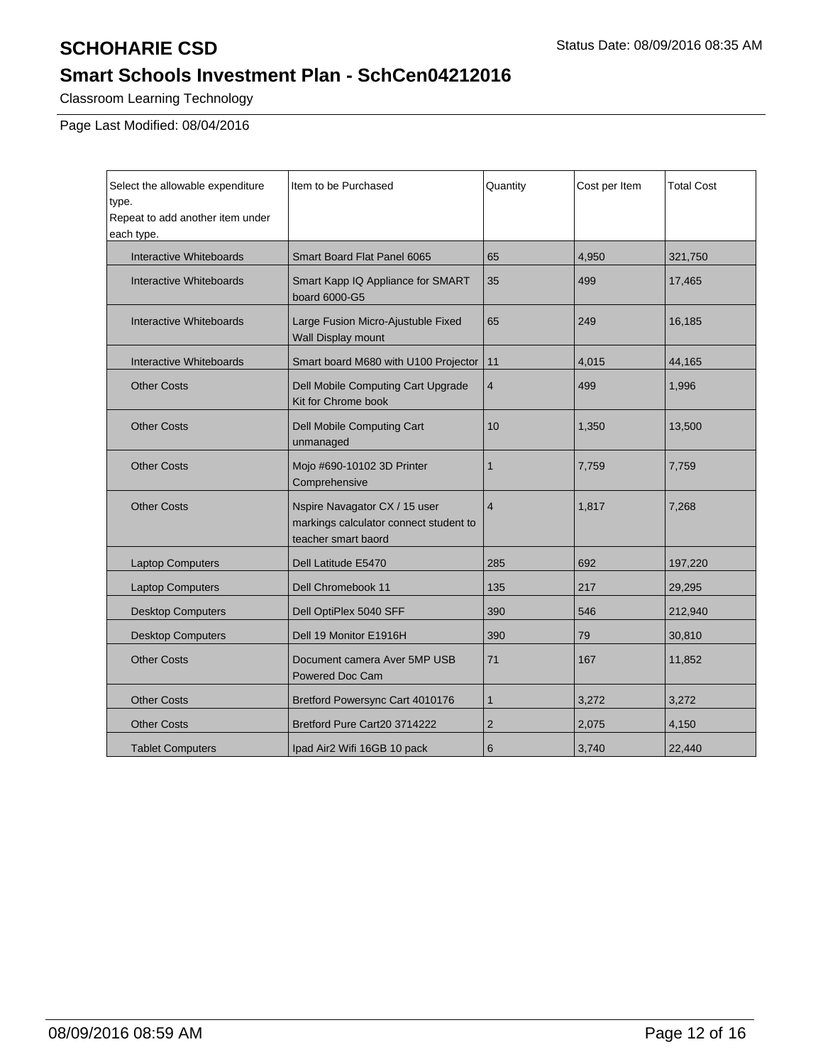Classroom Learning Technology

Page Last Modified: 08/04/2016

| Select the allowable expenditure<br>type.<br>Repeat to add another item under<br>each type. | Item to be Purchased                                                                           | Quantity       | Cost per Item | <b>Total Cost</b> |
|---------------------------------------------------------------------------------------------|------------------------------------------------------------------------------------------------|----------------|---------------|-------------------|
| Interactive Whiteboards                                                                     | Smart Board Flat Panel 6065                                                                    | 65             | 4,950         | 321,750           |
| Interactive Whiteboards                                                                     | Smart Kapp IQ Appliance for SMART<br>board 6000-G5                                             | 35             | 499           | 17,465            |
| Interactive Whiteboards                                                                     | Large Fusion Micro-Ajustuble Fixed<br>Wall Display mount                                       | 65             | 249           | 16,185            |
| <b>Interactive Whiteboards</b>                                                              | Smart board M680 with U100 Projector                                                           | 11             | 4,015         | 44,165            |
| <b>Other Costs</b>                                                                          | Dell Mobile Computing Cart Upgrade<br>Kit for Chrome book                                      | 4              | 499           | 1,996             |
| <b>Other Costs</b>                                                                          | Dell Mobile Computing Cart<br>unmanaged                                                        | 10             | 1,350         | 13,500            |
| <b>Other Costs</b>                                                                          | Mojo #690-10102 3D Printer<br>Comprehensive                                                    | 1              | 7,759         | 7,759             |
| <b>Other Costs</b>                                                                          | Nspire Navagator CX / 15 user<br>markings calculator connect student to<br>teacher smart baord | $\overline{4}$ | 1,817         | 7,268             |
| <b>Laptop Computers</b>                                                                     | Dell Latitude E5470                                                                            | 285            | 692           | 197,220           |
| <b>Laptop Computers</b>                                                                     | Dell Chromebook 11                                                                             | 135            | 217           | 29,295            |
| <b>Desktop Computers</b>                                                                    | Dell OptiPlex 5040 SFF                                                                         | 390            | 546           | 212,940           |
| <b>Desktop Computers</b>                                                                    | Dell 19 Monitor E1916H                                                                         | 390            | 79            | 30,810            |
| <b>Other Costs</b>                                                                          | Document camera Aver 5MP USB<br>Powered Doc Cam                                                | 71             | 167           | 11,852            |
| <b>Other Costs</b>                                                                          | Bretford Powersync Cart 4010176                                                                | $\mathbf{1}$   | 3,272         | 3,272             |
| <b>Other Costs</b>                                                                          | Bretford Pure Cart20 3714222                                                                   | $\overline{2}$ | 2,075         | 4,150             |
| <b>Tablet Computers</b>                                                                     | Ipad Air2 Wifi 16GB 10 pack                                                                    | 6              | 3,740         | 22,440            |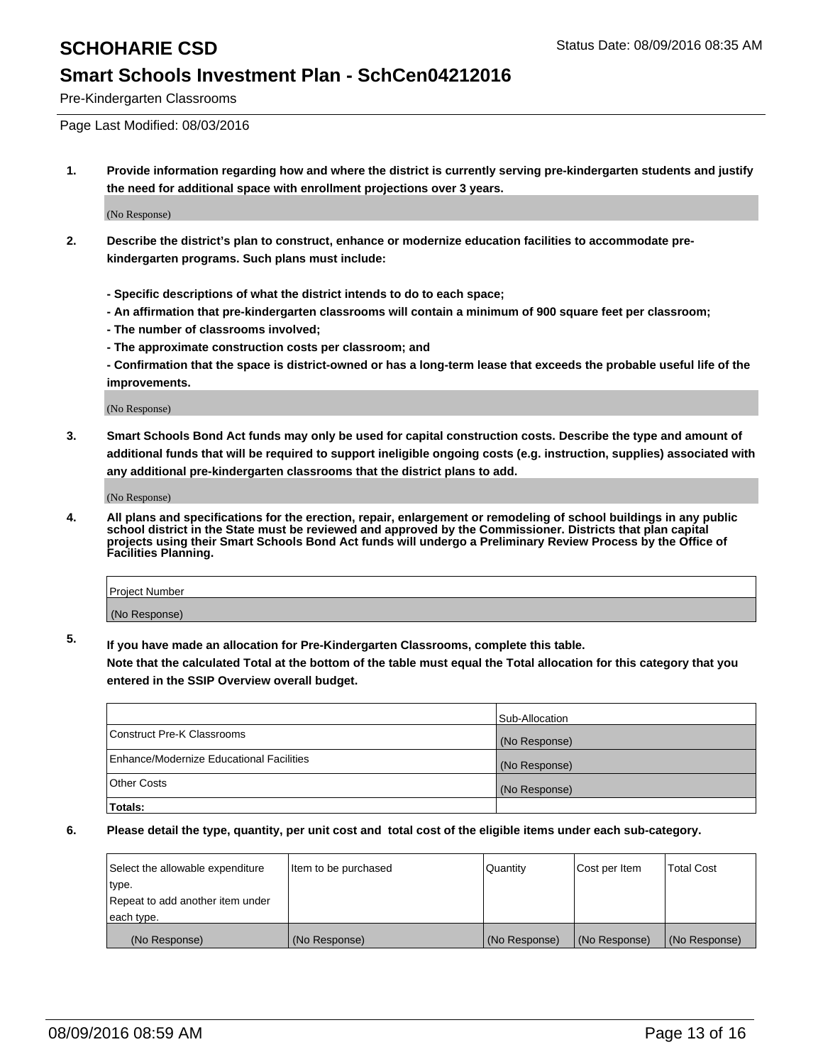Pre-Kindergarten Classrooms

Page Last Modified: 08/03/2016

**1. Provide information regarding how and where the district is currently serving pre-kindergarten students and justify the need for additional space with enrollment projections over 3 years.**

(No Response)

- **2. Describe the district's plan to construct, enhance or modernize education facilities to accommodate prekindergarten programs. Such plans must include:**
	- **Specific descriptions of what the district intends to do to each space;**
	- **An affirmation that pre-kindergarten classrooms will contain a minimum of 900 square feet per classroom;**
	- **The number of classrooms involved;**
	- **The approximate construction costs per classroom; and**
	- **Confirmation that the space is district-owned or has a long-term lease that exceeds the probable useful life of the improvements.**

(No Response)

**3. Smart Schools Bond Act funds may only be used for capital construction costs. Describe the type and amount of additional funds that will be required to support ineligible ongoing costs (e.g. instruction, supplies) associated with any additional pre-kindergarten classrooms that the district plans to add.**

(No Response)

**4. All plans and specifications for the erection, repair, enlargement or remodeling of school buildings in any public school district in the State must be reviewed and approved by the Commissioner. Districts that plan capital projects using their Smart Schools Bond Act funds will undergo a Preliminary Review Process by the Office of Facilities Planning.**

| Project Number |  |
|----------------|--|
| (No Response)  |  |

**5. If you have made an allocation for Pre-Kindergarten Classrooms, complete this table.**

**Note that the calculated Total at the bottom of the table must equal the Total allocation for this category that you entered in the SSIP Overview overall budget.**

|                                          | Sub-Allocation |
|------------------------------------------|----------------|
| Construct Pre-K Classrooms               | (No Response)  |
| Enhance/Modernize Educational Facilities | (No Response)  |
| <b>Other Costs</b>                       | (No Response)  |
| Totals:                                  |                |

| Select the allowable expenditure | litem to be purchased | Quantity      | Cost per Item | <b>Total Cost</b> |
|----------------------------------|-----------------------|---------------|---------------|-------------------|
| type.                            |                       |               |               |                   |
| Repeat to add another item under |                       |               |               |                   |
| each type.                       |                       |               |               |                   |
| (No Response)                    | (No Response)         | (No Response) | (No Response) | (No Response)     |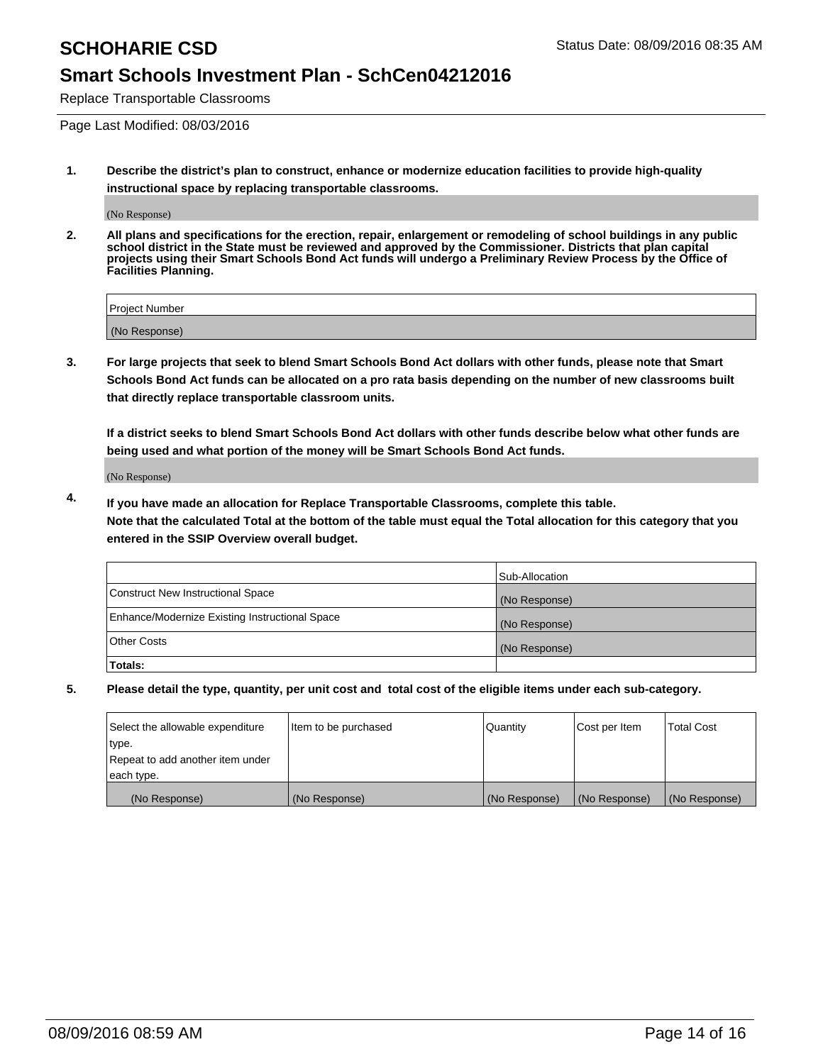Replace Transportable Classrooms

Page Last Modified: 08/03/2016

**1. Describe the district's plan to construct, enhance or modernize education facilities to provide high-quality instructional space by replacing transportable classrooms.**

(No Response)

**2. All plans and specifications for the erection, repair, enlargement or remodeling of school buildings in any public school district in the State must be reviewed and approved by the Commissioner. Districts that plan capital projects using their Smart Schools Bond Act funds will undergo a Preliminary Review Process by the Office of Facilities Planning.**

| <b>Project Number</b> |  |
|-----------------------|--|
| (No Response)         |  |

**3. For large projects that seek to blend Smart Schools Bond Act dollars with other funds, please note that Smart Schools Bond Act funds can be allocated on a pro rata basis depending on the number of new classrooms built that directly replace transportable classroom units.**

**If a district seeks to blend Smart Schools Bond Act dollars with other funds describe below what other funds are being used and what portion of the money will be Smart Schools Bond Act funds.**

(No Response)

**4. If you have made an allocation for Replace Transportable Classrooms, complete this table. Note that the calculated Total at the bottom of the table must equal the Total allocation for this category that you entered in the SSIP Overview overall budget.**

|                                                | Sub-Allocation |
|------------------------------------------------|----------------|
| Construct New Instructional Space              | (No Response)  |
| Enhance/Modernize Existing Instructional Space | (No Response)  |
| Other Costs                                    | (No Response)  |
| Totals:                                        |                |

| Select the allowable expenditure | litem to be purchased | Quantity      | Cost per Item | <b>Total Cost</b> |
|----------------------------------|-----------------------|---------------|---------------|-------------------|
| type.                            |                       |               |               |                   |
| Repeat to add another item under |                       |               |               |                   |
| each type.                       |                       |               |               |                   |
| (No Response)                    | (No Response)         | (No Response) | (No Response) | (No Response)     |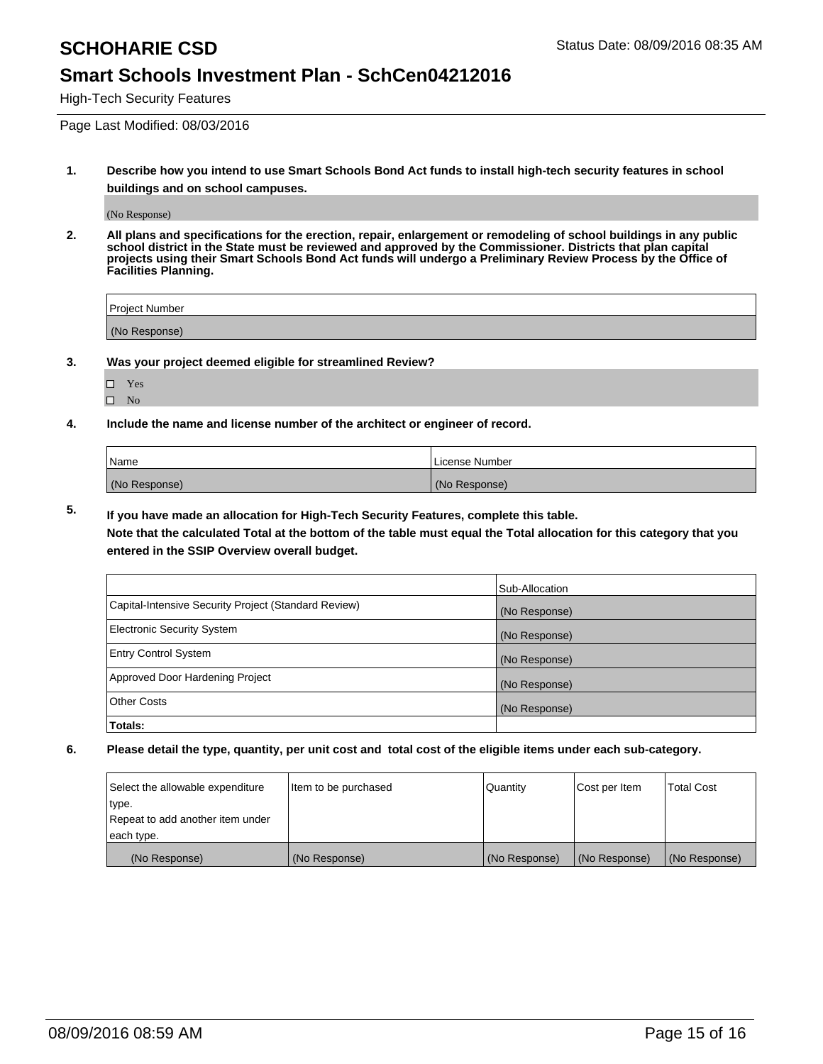High-Tech Security Features

Page Last Modified: 08/03/2016

**1. Describe how you intend to use Smart Schools Bond Act funds to install high-tech security features in school buildings and on school campuses.**

(No Response)

**2. All plans and specifications for the erection, repair, enlargement or remodeling of school buildings in any public school district in the State must be reviewed and approved by the Commissioner. Districts that plan capital projects using their Smart Schools Bond Act funds will undergo a Preliminary Review Process by the Office of Facilities Planning.** 

| Project Number |  |
|----------------|--|
| (No Response)  |  |

**3. Was your project deemed eligible for streamlined Review?**

Yes  $\hfill \square$  No

**4. Include the name and license number of the architect or engineer of record.**

| Name          | License Number |
|---------------|----------------|
| (No Response) | (No Response)  |

**5. If you have made an allocation for High-Tech Security Features, complete this table.**

**Note that the calculated Total at the bottom of the table must equal the Total allocation for this category that you entered in the SSIP Overview overall budget.**

|                                                      | Sub-Allocation |
|------------------------------------------------------|----------------|
| Capital-Intensive Security Project (Standard Review) | (No Response)  |
| <b>Electronic Security System</b>                    | (No Response)  |
| <b>Entry Control System</b>                          | (No Response)  |
| Approved Door Hardening Project                      | (No Response)  |
| <b>Other Costs</b>                                   | (No Response)  |
| Totals:                                              |                |

| Select the allowable expenditure | litem to be purchased | Quantity      | Cost per Item | <b>Total Cost</b> |
|----------------------------------|-----------------------|---------------|---------------|-------------------|
| type.                            |                       |               |               |                   |
| Repeat to add another item under |                       |               |               |                   |
| each type.                       |                       |               |               |                   |
| (No Response)                    | (No Response)         | (No Response) | (No Response) | (No Response)     |